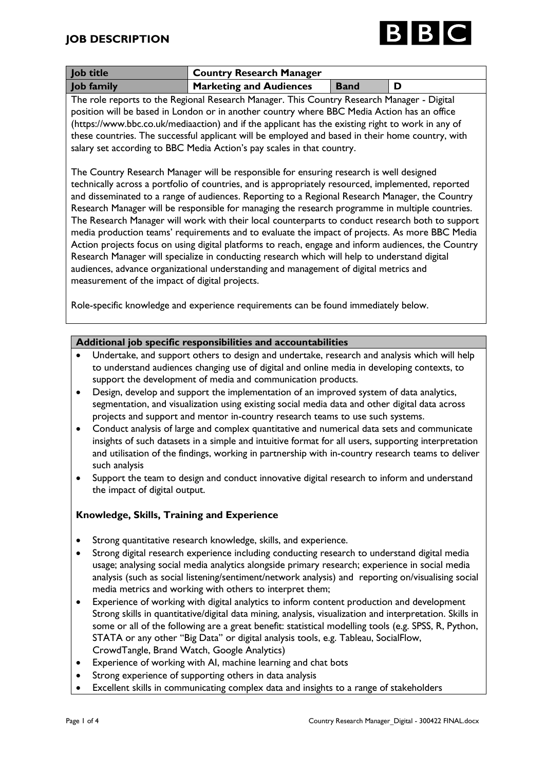

| <b>Job title</b>  | Country Research Manager       |             |  |
|-------------------|--------------------------------|-------------|--|
| <b>Job family</b> | <b>Marketing and Audiences</b> | <b>Band</b> |  |

The role reports to the Regional Research Manager. This Country Research Manager - Digital position will be based in London or in another country where BBC Media Action has an office (https://www.bbc.co.uk/mediaaction) and if the applicant has the existing right to work in any of these countries. The successful applicant will be employed and based in their home country, with salary set according to BBC Media Action's pay scales in that country.

The Country Research Manager will be responsible for ensuring research is well designed technically across a portfolio of countries, and is appropriately resourced, implemented, reported and disseminated to a range of audiences. Reporting to a Regional Research Manager, the Country Research Manager will be responsible for managing the research programme in multiple countries. The Research Manager will work with their local counterparts to conduct research both to support media production teams' requirements and to evaluate the impact of projects. As more BBC Media Action projects focus on using digital platforms to reach, engage and inform audiences, the Country Research Manager will specialize in conducting research which will help to understand digital audiences, advance organizational understanding and management of digital metrics and measurement of the impact of digital projects.

Role-specific knowledge and experience requirements can be found immediately below.

## **Additional job specific responsibilities and accountabilities**

- Undertake, and support others to design and undertake, research and analysis which will help to understand audiences changing use of digital and online media in developing contexts, to support the development of media and communication products.
- Design, develop and support the implementation of an improved system of data analytics, segmentation, and visualization using existing social media data and other digital data across projects and support and mentor in-country research teams to use such systems.
- Conduct analysis of large and complex quantitative and numerical data sets and communicate insights of such datasets in a simple and intuitive format for all users, supporting interpretation and utilisation of the findings, working in partnership with in-country research teams to deliver such analysis
- Support the team to design and conduct innovative digital research to inform and understand the impact of digital output.

# **Knowledge, Skills, Training and Experience**

- Strong quantitative research knowledge, skills, and experience.
- Strong digital research experience including conducting research to understand digital media usage; analysing social media analytics alongside primary research; experience in social media analysis (such as social listening/sentiment/network analysis) and reporting on/visualising social media metrics and working with others to interpret them;
- Experience of working with digital analytics to inform content production and development Strong skills in quantitative/digital data mining, analysis, visualization and interpretation. Skills in some or all of the following are a great benefit: statistical modelling tools (e.g. SPSS, R, Python, STATA or any other "Big Data" or digital analysis tools, e.g. Tableau, SocialFlow, CrowdTangle, Brand Watch, Google Analytics)
- Experience of working with AI, machine learning and chat bots
- Strong experience of supporting others in data analysis
- Excellent skills in communicating complex data and insights to a range of stakeholders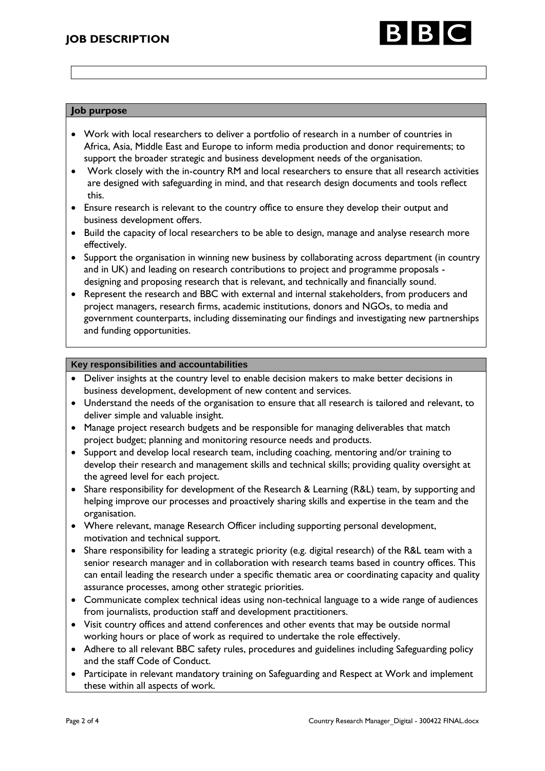

### **Job purpose**

- Work with local researchers to deliver a portfolio of research in a number of countries in Africa, Asia, Middle East and Europe to inform media production and donor requirements; to support the broader strategic and business development needs of the organisation.
- Work closely with the in-country RM and local researchers to ensure that all research activities are designed with safeguarding in mind, and that research design documents and tools reflect this.
- Ensure research is relevant to the country office to ensure they develop their output and business development offers.
- Build the capacity of local researchers to be able to design, manage and analyse research more effectively.
- Support the organisation in winning new business by collaborating across department (in country and in UK) and leading on research contributions to project and programme proposals designing and proposing research that is relevant, and technically and financially sound.
- Represent the research and BBC with external and internal stakeholders, from producers and project managers, research firms, academic institutions, donors and NGOs, to media and government counterparts, including disseminating our findings and investigating new partnerships and funding opportunities.

### **Key responsibilities and accountabilities**

- Deliver insights at the country level to enable decision makers to make better decisions in business development, development of new content and services.
- Understand the needs of the organisation to ensure that all research is tailored and relevant, to deliver simple and valuable insight.
- Manage project research budgets and be responsible for managing deliverables that match project budget; planning and monitoring resource needs and products.
- Support and develop local research team, including coaching, mentoring and/or training to develop their research and management skills and technical skills; providing quality oversight at the agreed level for each project.
- Share responsibility for development of the Research & Learning (R&L) team, by supporting and helping improve our processes and proactively sharing skills and expertise in the team and the organisation.
- Where relevant, manage Research Officer including supporting personal development, motivation and technical support.
- Share responsibility for leading a strategic priority (e.g. digital research) of the R&L team with a senior research manager and in collaboration with research teams based in country offices. This can entail leading the research under a specific thematic area or coordinating capacity and quality assurance processes, among other strategic priorities.
- Communicate complex technical ideas using non-technical language to a wide range of audiences from journalists, production staff and development practitioners.
- Visit country offices and attend conferences and other events that may be outside normal working hours or place of work as required to undertake the role effectively.
- Adhere to all relevant BBC safety rules, procedures and guidelines including Safeguarding policy and the staff Code of Conduct.
- Participate in relevant mandatory training on Safeguarding and Respect at Work and implement these within all aspects of work.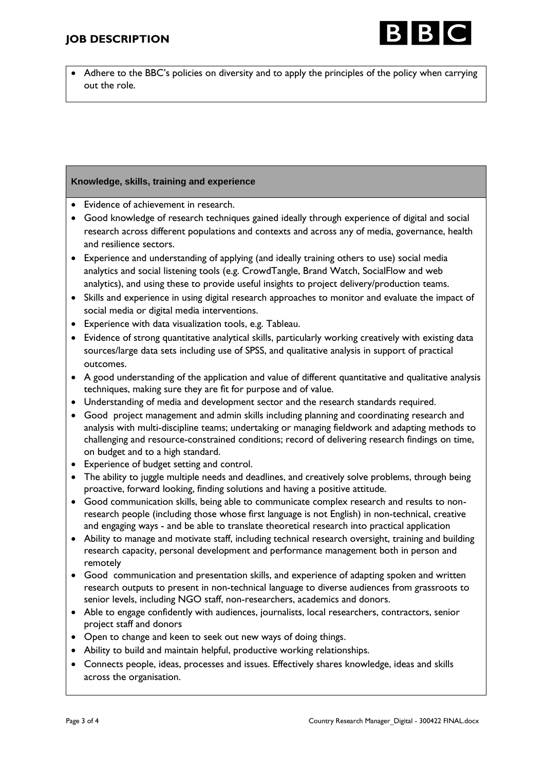

• Adhere to the BBC's policies on diversity and to apply the principles of the policy when carrying out the role.

## **Knowledge, skills, training and experience**

- Evidence of achievement in research.
- Good knowledge of research techniques gained ideally through experience of digital and social research across different populations and contexts and across any of media, governance, health and resilience sectors.
- Experience and understanding of applying (and ideally training others to use) social media analytics and social listening tools (e.g. CrowdTangle, Brand Watch, SocialFlow and web analytics), and using these to provide useful insights to project delivery/production teams.
- Skills and experience in using digital research approaches to monitor and evaluate the impact of social media or digital media interventions.
- Experience with data visualization tools, e.g. Tableau.
- Evidence of strong quantitative analytical skills, particularly working creatively with existing data sources/large data sets including use of SPSS, and qualitative analysis in support of practical outcomes.
- A good understanding of the application and value of different quantitative and qualitative analysis techniques, making sure they are fit for purpose and of value.
- Understanding of media and development sector and the research standards required.
- Good project management and admin skills including planning and coordinating research and analysis with multi-discipline teams; undertaking or managing fieldwork and adapting methods to challenging and resource-constrained conditions; record of delivering research findings on time, on budget and to a high standard.
- Experience of budget setting and control.
- The ability to juggle multiple needs and deadlines, and creatively solve problems, through being proactive, forward looking, finding solutions and having a positive attitude.
- Good communication skills, being able to communicate complex research and results to nonresearch people (including those whose first language is not English) in non-technical, creative and engaging ways - and be able to translate theoretical research into practical application
- Ability to manage and motivate staff, including technical research oversight, training and building research capacity, personal development and performance management both in person and remotely
- Good communication and presentation skills, and experience of adapting spoken and written research outputs to present in non-technical language to diverse audiences from grassroots to senior levels, including NGO staff, non-researchers, academics and donors.
- Able to engage confidently with audiences, journalists, local researchers, contractors, senior project staff and donors
- Open to change and keen to seek out new ways of doing things.
- Ability to build and maintain helpful, productive working relationships.
- Connects people, ideas, processes and issues. Effectively shares knowledge, ideas and skills across the organisation.